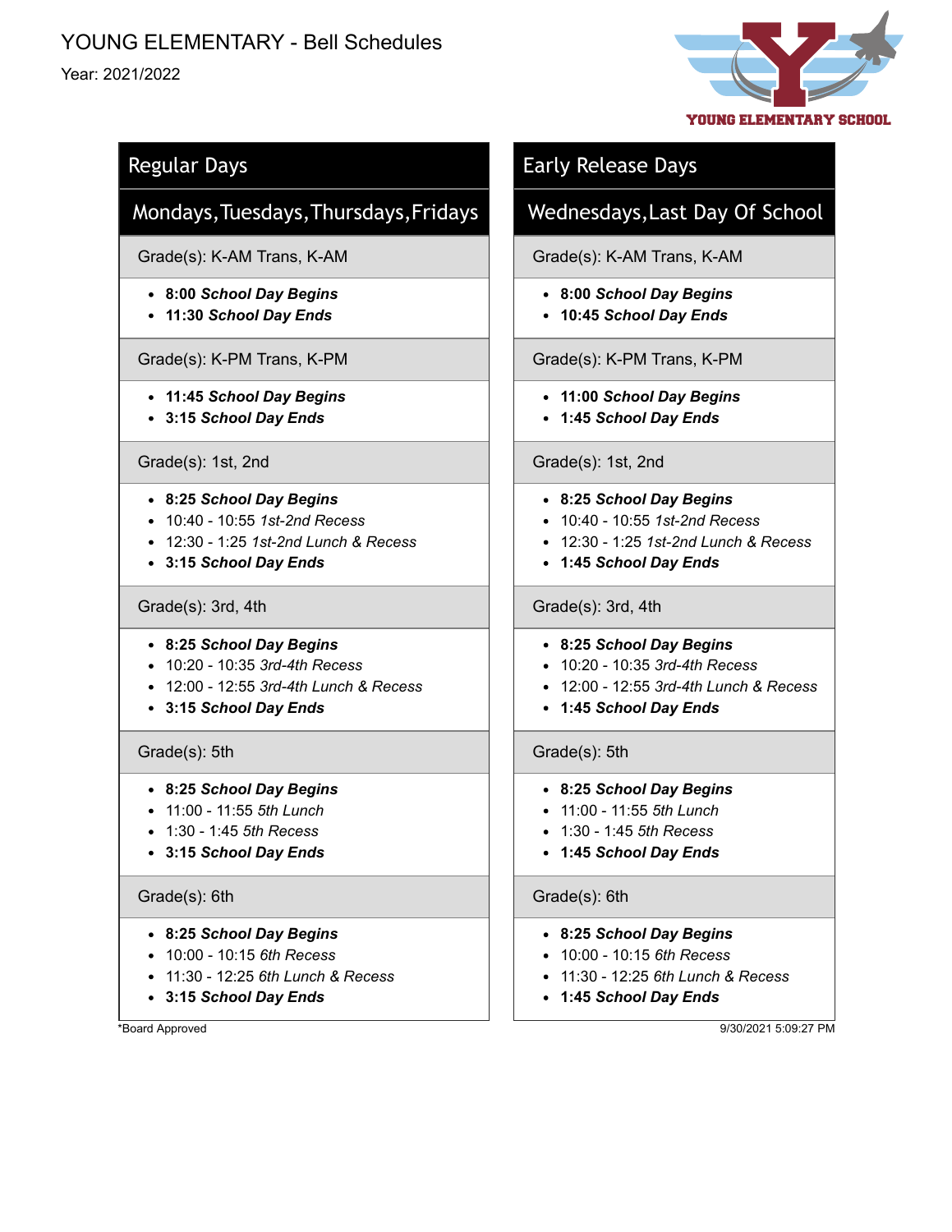# YOUNG ELEMENTARY - Bell Schedules

## Year: 2021/2022



## Regular Days

## Mondays,Tuesdays,Thursdays,Fridays

Grade(s): K-AM Trans, K-AM

- **8:00** *School Day Begins*
- **11:30** *School Day Ends*

Grade(s): K-PM Trans, K-PM

- **11:45** *School Day Begins*
- **3:15** *School Day Ends*

### Grade(s): 1st, 2nd

- **8:25** *School Day Begins*
- 10:40 10:55 *1st-2nd Recess*
- 12:30 1:25 *1st-2nd Lunch & Recess*
- **3:15** *School Day Ends*

### Grade(s): 3rd, 4th

- **8:25** *School Day Begins*
- 10:20 10:35 *3rd-4th Recess*
- 12:00 12:55 *3rd-4th Lunch & Recess*
- **3:15** *School Day Ends*

## Grade(s): 5th

- **8:25** *School Day Begins*
- 11:00 11:55 *5th Lunch*
- 1:30 1:45 *5th Recess*
- **3:15** *School Day Ends*

### Grade(s): 6th

- **8:25** *School Day Begins*
- 10:00 10:15 *6th Recess*
- 11:30 12:25 *6th Lunch & Recess*
- **3:15** *School Day Ends*

\*Board Approved

## Early Release Days

## Wednesdays,Last Day Of School

Grade(s): K-AM Trans, K-AM

- **8:00** *School Day Begins*
- **10:45** *School Day Ends*

## Grade(s): K-PM Trans, K-PM

- **11:00** *School Day Begins*
- **1:45** *School Day Ends*

### Grade(s): 1st, 2nd

- **8:25** *School Day Begins*
- 10:40 10:55 *1st-2nd Recess*
- 12:30 1:25 *1st-2nd Lunch & Recess*
- **1:45** *School Day Ends*

### Grade(s): 3rd, 4th

- **8:25** *School Day Begins*
- 10:20 10:35 *3rd-4th Recess*
- 12:00 12:55 *3rd-4th Lunch & Recess*
- **1:45** *School Day Ends*

## Grade(s): 5th

### **8:25** *School Day Begins*

- 11:00 11:55 *5th Lunch*
- 1:30 1:45 *5th Recess*
- **1:45** *School Day Ends*

### Grade(s): 6th

- **8:25** *School Day Begins*
- 10:00 10:15 *6th Recess*
- 11:30 12:25 *6th Lunch & Recess*
- **1:45** *School Day Ends*

9/30/2021 5:09:27 PM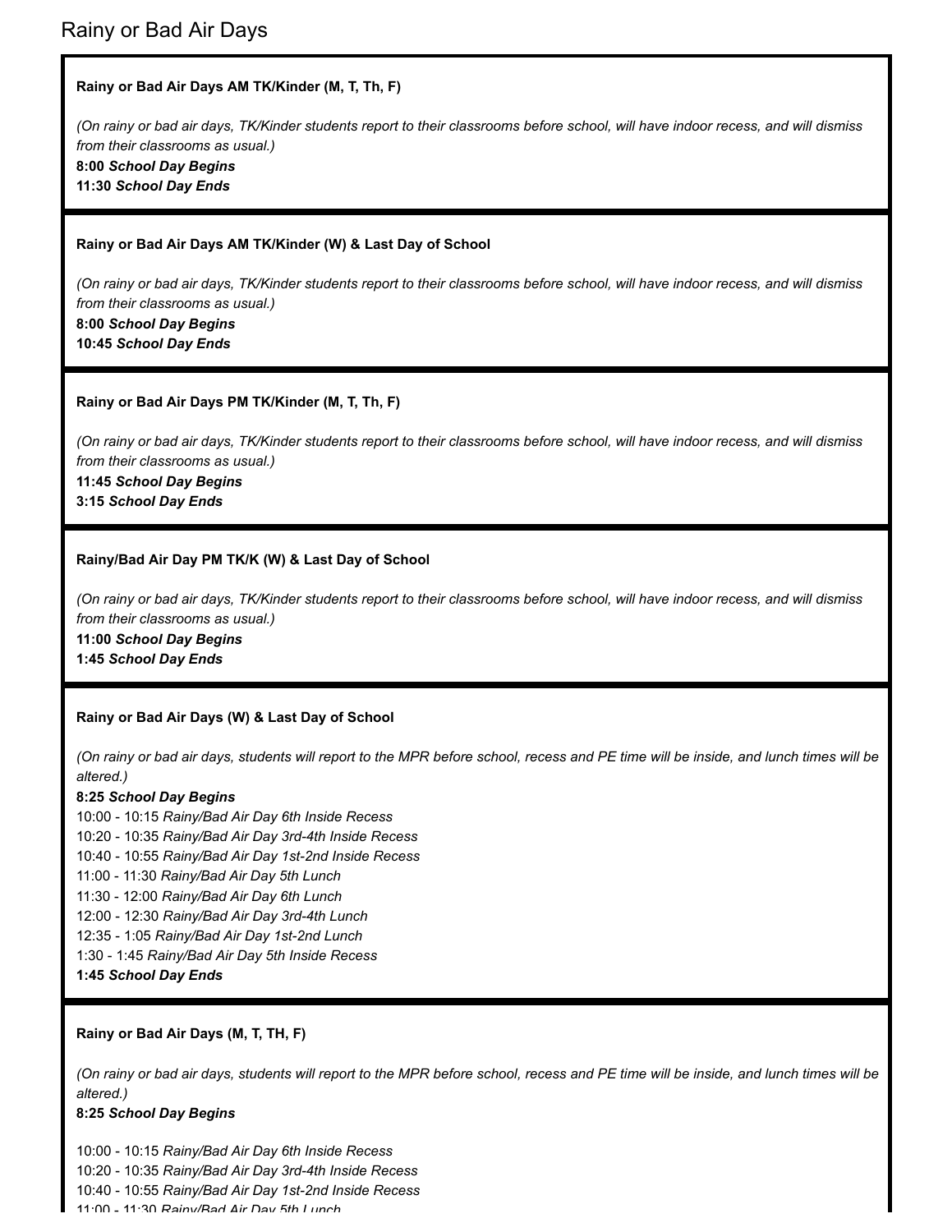#### **Rainy or Bad Air Days AM TK/Kinder (M, T, Th, F)**

*(On rainy or bad air days, TK/Kinder students report to their classrooms before school, will have indoor recess, and will dismiss from their classrooms as usual.)* **8:00** *School Day Begins* **11:30** *School Day Ends*

#### **Rainy or Bad Air Days AM TK/Kinder (W) & Last Day of School**

*(On rainy or bad air days, TK/Kinder students report to their classrooms before school, will have indoor recess, and will dismiss from their classrooms as usual.)* **8:00** *School Day Begins* **10:45** *School Day Ends*

#### **Rainy or Bad Air Days PM TK/Kinder (M, T, Th, F)**

*(On rainy or bad air days, TK/Kinder students report to their classrooms before school, will have indoor recess, and will dismiss from their classrooms as usual.)*

**11:45** *School Day Begins*

**3:15** *School Day Ends*

#### **Rainy/Bad Air Day PM TK/K (W) & Last Day of School**

*(On rainy or bad air days, TK/Kinder students report to their classrooms before school, will have indoor recess, and will dismiss from their classrooms as usual.)*

**11:00** *School Day Begins*

**1:45** *School Day Ends*

#### **Rainy or Bad Air Days (W) & Last Day of School**

*(On rainy or bad air days, students will report to the MPR before school, recess and PE time will be inside, and lunch times will be altered.)*

#### **8:25** *School Day Begins*

10:00 - 10:15 *Rainy/Bad Air Day 6th Inside Recess* 10:20 - 10:35 *Rainy/Bad Air Day 3rd-4th Inside Recess* 10:40 - 10:55 *Rainy/Bad Air Day 1st-2nd Inside Recess* 11:00 - 11:30 *Rainy/Bad Air Day 5th Lunch* 11:30 - 12:00 *Rainy/Bad Air Day 6th Lunch* 12:00 - 12:30 *Rainy/Bad Air Day 3rd-4th Lunch* 12:35 - 1:05 *Rainy/Bad Air Day 1st-2nd Lunch* 1:30 - 1:45 *Rainy/Bad Air Day 5th Inside Recess* **1:45** *School Day Ends*

#### **Rainy or Bad Air Days (M, T, TH, F)**

*(On rainy or bad air days, students will report to the MPR before school, recess and PE time will be inside, and lunch times will be altered.)*

#### **8:25** *School Day Begins*

10:00 - 10:15 *Rainy/Bad Air Day 6th Inside Recess* 10:20 - 10:35 *Rainy/Bad Air Day 3rd-4th Inside Recess* 10:40 - 10:55 *Rainy/Bad Air Day 1st-2nd Inside Recess* 11:00 - 11:30 *Rainy/Bad Air Day 5th Lunch*